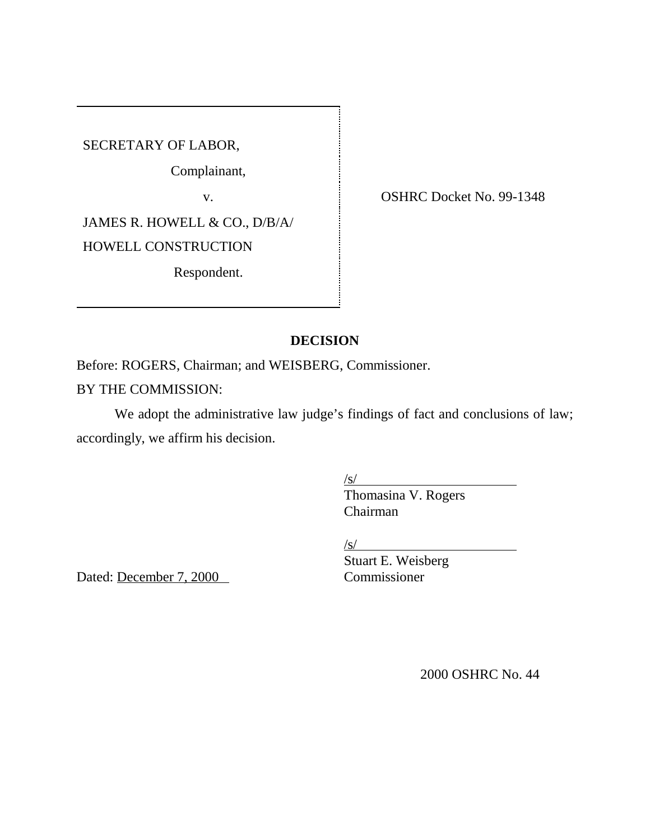SECRETARY OF LABOR,

Complainant,

JAMES R. HOWELL & CO., D/B/A/ HOWELL CONSTRUCTION Respondent.

ABOR,<br>plainant,<br>v. COSHRC Docket No. 99-1348

## **DECISION**

Before: ROGERS, Chairman; and WEISBERG, Commissioner.

## BY THE COMMISSION:

We adopt the administrative law judge's findings of fact and conclusions of law; accordingly, we affirm his decision.

 $\sqrt{s}$ /

Thomasina V. Rogers Chairman

 $\sqrt{s}$ /

Dated: December 7, 2000

Stuart E. Weisberg

2000 OSHRC No. 44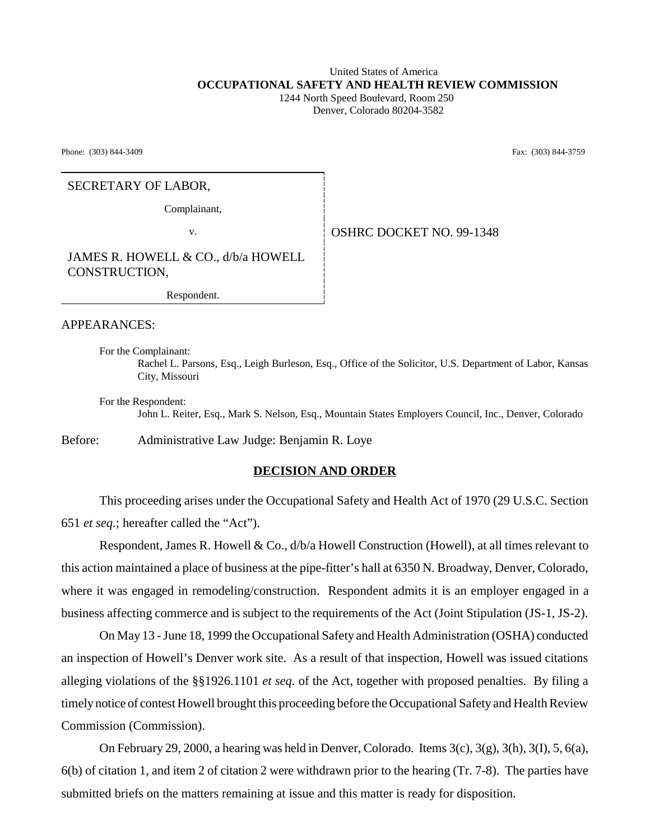#### United States of America  **OCCUPATIONAL SAFETY AND HEALTH REVIEW COMMISSION** 1244 North Speed Boulevard, Room 250

Denver, Colorado 80204-3582

Phone: (303) 844-3409 **Fax:** (303) 844-3759

#### SECRETARY OF LABOR,

Complainant,

v. Solution of the SHRC DOCKET NO. 99-1348

JAMES R. HOWELL & CO., d/b/a HOWELL CONSTRUCTION,

Respondent.

APPEARANCES:

For the Complainant: Rachel L. Parsons, Esq., Leigh Burleson, Esq., Office of the Solicitor, U.S. Department of Labor, Kansas City, Missouri

For the Respondent: John L. Reiter, Esq., Mark S. Nelson, Esq., Mountain States Employers Council, Inc., Denver, Colorado

Before: Administrative Law Judge: Benjamin R. Loye

#### **DECISION AND ORDER**

This proceeding arises under the Occupational Safety and Health Act of 1970 (29 U.S.C. Section 651 *et seq.*; hereafter called the "Act").

Respondent, James R. Howell & Co.,  $d/b/a$  Howell Construction (Howell), at all times relevant to this action maintained a place of business at the pipe-fitter's hall at 6350 N. Broadway, Denver, Colorado, where it was engaged in remodeling/construction. Respondent admits it is an employer engaged in a business affecting commerce and is subject to the requirements of the Act (Joint Stipulation (JS-1, JS-2).

On May 13 - June 18, 1999 the Occupational Safety and Health Administration (OSHA) conducted an inspection of Howell's Denver work site. As a result of that inspection, Howell was issued citations alleging violations of the §§1926.1101 *et seq.* of the Act, together with proposed penalties. By filing a timely notice of contest Howell brought this proceeding before the Occupational Safety and Health Review Commission (Commission).

On February 29, 2000, a hearing was held in Denver, Colorado. Items  $3(c)$ ,  $3(g)$ ,  $3(h)$ ,  $3(I)$ ,  $5$ ,  $6(a)$ , 6(b) of citation 1, and item 2 of citation 2 were withdrawn prior to the hearing (Tr. 7-8). The parties have submitted briefs on the matters remaining at issue and this matter is ready for disposition.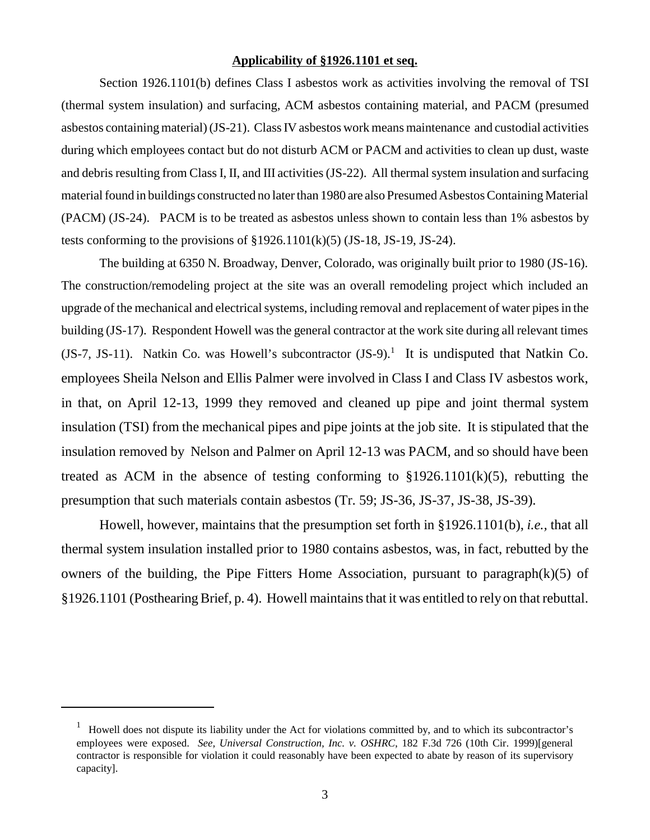#### **Applicability of §1926.1101 et seq.**

Section 1926.1101(b) defines Class I asbestos work as activities involving the removal of TSI (thermal system insulation) and surfacing, ACM asbestos containing material, and PACM (presumed asbestos containing material) (JS-21). Class IV asbestos work means maintenance and custodial activities during which employees contact but do not disturb ACM or PACM and activities to clean up dust, waste and debris resulting from Class I, II, and III activities (JS-22). All thermal system insulation and surfacing material found in buildings constructed no later than 1980 are also Presumed Asbestos Containing Material (PACM) (JS-24). PACM is to be treated as asbestos unless shown to contain less than 1% asbestos by tests conforming to the provisions of  $\S 1926.1101(k)(5)$  (JS-18, JS-19, JS-24).

The building at 6350 N. Broadway, Denver, Colorado, was originally built prior to 1980 (JS-16). The construction/remodeling project at the site was an overall remodeling project which included an upgrade of the mechanical and electrical systems, including removal and replacement of water pipes in the building (JS-17). Respondent Howell was the general contractor at the work site during all relevant times (JS-7, JS-11). Natkin Co. was Howell's subcontractor  $(JS-9)$ .<sup>1</sup> It is undisputed that Natkin Co. employees Sheila Nelson and Ellis Palmer were involved in Class I and Class IV asbestos work, in that, on April 12-13, 1999 they removed and cleaned up pipe and joint thermal system insulation (TSI) from the mechanical pipes and pipe joints at the job site. It is stipulated that the insulation removed by Nelson and Palmer on April 12-13 was PACM, and so should have been treated as ACM in the absence of testing conforming to  $$1926.1101(k)(5)$ , rebutting the presumption that such materials contain asbestos (Tr. 59; JS-36, JS-37, JS-38, JS-39).

Howell, however, maintains that the presumption set forth in §1926.1101(b), *i.e.,* that all thermal system insulation installed prior to 1980 contains asbestos, was, in fact, rebutted by the owners of the building, the Pipe Fitters Home Association, pursuant to paragraph $(k)(5)$  of §1926.1101 (Posthearing Brief, p. 4). Howell maintains that it was entitled to rely on that rebuttal.

<sup>&</sup>lt;sup>1</sup> Howell does not dispute its liability under the Act for violations committed by, and to which its subcontractor's employees were exposed. *See, Universal Construction, Inc. v. OSHRC*, 182 F.3d 726 (10th Cir. 1999)[general contractor is responsible for violation it could reasonably have been expected to abate by reason of its supervisory capacity].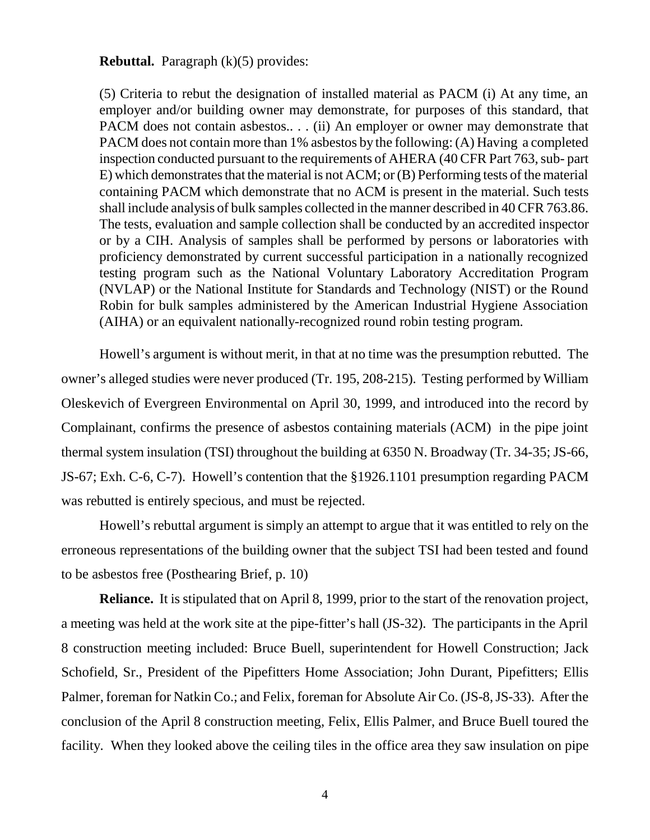**Rebuttal.** Paragraph (k)(5) provides:

(5) Criteria to rebut the designation of installed material as PACM (i) At any time, an employer and/or building owner may demonstrate, for purposes of this standard, that PACM does not contain asbestos... (ii) An employer or owner may demonstrate that PACM does not contain more than 1% asbestos by the following: (A) Having a completed inspection conducted pursuant to the requirements of AHERA (40 CFR Part 763, sub- part E) which demonstrates that the material is not ACM; or (B) Performing tests of the material containing PACM which demonstrate that no ACM is present in the material. Such tests shall include analysis of bulk samples collected in the manner described in 40 CFR 763.86. The tests, evaluation and sample collection shall be conducted by an accredited inspector or by a CIH. Analysis of samples shall be performed by persons or laboratories with proficiency demonstrated by current successful participation in a nationally recognized testing program such as the National Voluntary Laboratory Accreditation Program (NVLAP) or the National Institute for Standards and Technology (NIST) or the Round Robin for bulk samples administered by the American Industrial Hygiene Association (AIHA) or an equivalent nationally-recognized round robin testing program.

Howell's argument is without merit, in that at no time was the presumption rebutted. The owner's alleged studies were never produced (Tr. 195, 208-215). Testing performed by William Oleskevich of Evergreen Environmental on April 30, 1999, and introduced into the record by Complainant, confirms the presence of asbestos containing materials (ACM) in the pipe joint thermal system insulation (TSI) throughout the building at 6350 N. Broadway (Tr. 34-35; JS-66, JS-67; Exh. C-6, C-7). Howell's contention that the §1926.1101 presumption regarding PACM was rebutted is entirely specious, and must be rejected.

Howell's rebuttal argument is simply an attempt to argue that it was entitled to rely on the erroneous representations of the building owner that the subject TSI had been tested and found to be asbestos free (Posthearing Brief, p. 10)

**Reliance.** It is stipulated that on April 8, 1999, prior to the start of the renovation project, a meeting was held at the work site at the pipe-fitter's hall (JS-32). The participants in the April 8 construction meeting included: Bruce Buell, superintendent for Howell Construction; Jack Schofield, Sr., President of the Pipefitters Home Association; John Durant, Pipefitters; Ellis Palmer, foreman for Natkin Co.; and Felix, foreman for Absolute Air Co. (JS-8, JS-33). After the conclusion of the April 8 construction meeting, Felix, Ellis Palmer, and Bruce Buell toured the facility. When they looked above the ceiling tiles in the office area they saw insulation on pipe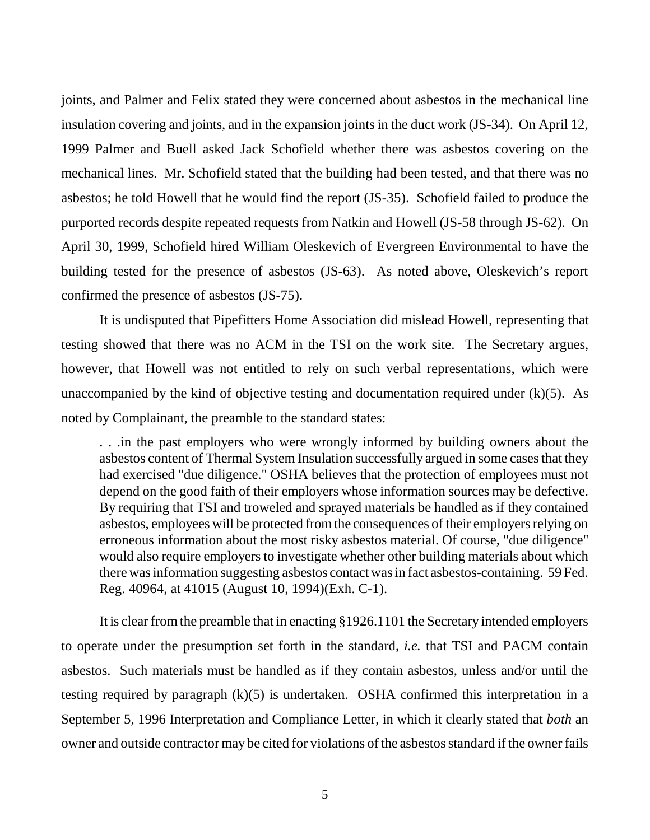joints, and Palmer and Felix stated they were concerned about asbestos in the mechanical line insulation covering and joints, and in the expansion joints in the duct work (JS-34). On April 12, 1999 Palmer and Buell asked Jack Schofield whether there was asbestos covering on the mechanical lines. Mr. Schofield stated that the building had been tested, and that there was no asbestos; he told Howell that he would find the report (JS-35). Schofield failed to produce the purported records despite repeated requests from Natkin and Howell (JS-58 through JS-62). On April 30, 1999, Schofield hired William Oleskevich of Evergreen Environmental to have the building tested for the presence of asbestos (JS-63). As noted above, Oleskevich's report confirmed the presence of asbestos (JS-75).

It is undisputed that Pipefitters Home Association did mislead Howell, representing that testing showed that there was no ACM in the TSI on the work site. The Secretary argues, however, that Howell was not entitled to rely on such verbal representations, which were unaccompanied by the kind of objective testing and documentation required under  $(k)(5)$ . As noted by Complainant, the preamble to the standard states:

. . .in the past employers who were wrongly informed by building owners about the asbestos content of Thermal System Insulation successfully argued in some cases that they had exercised "due diligence." OSHA believes that the protection of employees must not depend on the good faith of their employers whose information sources may be defective. By requiring that TSI and troweled and sprayed materials be handled as if they contained asbestos, employees will be protected from the consequences of their employers relying on erroneous information about the most risky asbestos material. Of course, "due diligence" would also require employers to investigate whether other building materials about which there was information suggesting asbestos contact was in fact asbestos-containing. 59 Fed. Reg. 40964, at 41015 (August 10, 1994)(Exh. C-1).

It is clear from the preamble that in enacting §1926.1101 the Secretary intended employers to operate under the presumption set forth in the standard, *i.e.* that TSI and PACM contain asbestos. Such materials must be handled as if they contain asbestos, unless and/or until the testing required by paragraph (k)(5) is undertaken. OSHA confirmed this interpretation in a September 5, 1996 Interpretation and Compliance Letter, in which it clearly stated that *both* an owner and outside contractor may be cited for violations of the asbestos standard if the owner fails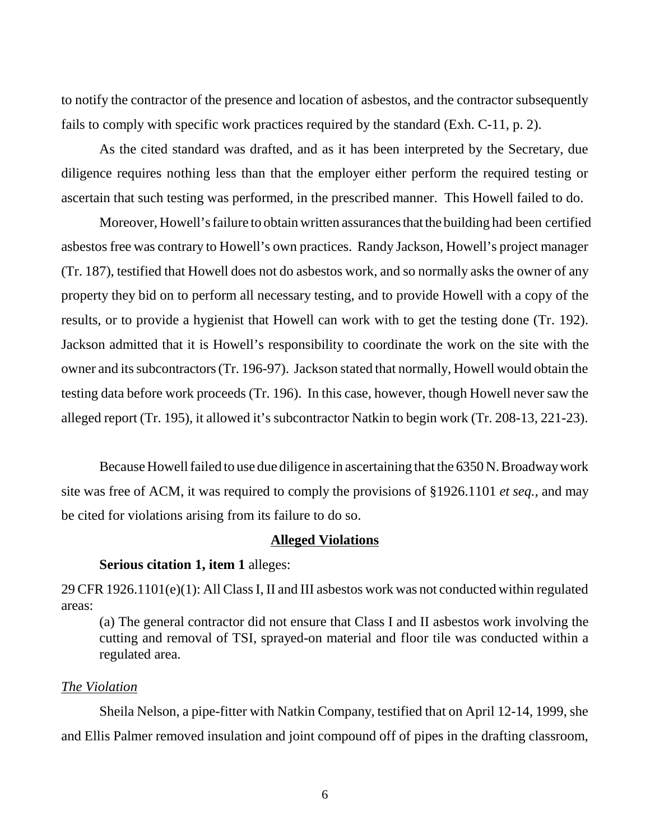to notify the contractor of the presence and location of asbestos, and the contractor subsequently fails to comply with specific work practices required by the standard (Exh. C-11, p. 2).

As the cited standard was drafted, and as it has been interpreted by the Secretary, due diligence requires nothing less than that the employer either perform the required testing or ascertain that such testing was performed, in the prescribed manner. This Howell failed to do.

 Moreover, Howell's failure to obtain written assurances that the building had been certified asbestos free was contrary to Howell's own practices. Randy Jackson, Howell's project manager (Tr. 187), testified that Howell does not do asbestos work, and so normally asks the owner of any property they bid on to perform all necessary testing, and to provide Howell with a copy of the results, or to provide a hygienist that Howell can work with to get the testing done (Tr. 192). Jackson admitted that it is Howell's responsibility to coordinate the work on the site with the owner and its subcontractors (Tr. 196-97). Jackson stated that normally, Howell would obtain the testing data before work proceeds (Tr. 196). In this case, however, though Howell never saw the alleged report (Tr. 195), it allowed it's subcontractor Natkin to begin work (Tr. 208-13, 221-23).

Because Howell failed to use due diligence in ascertaining that the 6350 N. Broadway work site was free of ACM, it was required to comply the provisions of §1926.1101 *et seq.,* and may be cited for violations arising from its failure to do so.

### **Alleged Violations**

#### **Serious citation 1, item 1** alleges:

29 CFR 1926.1101(e)(1): All Class I, II and III asbestos work was not conducted within regulated areas:

(a) The general contractor did not ensure that Class I and II asbestos work involving the cutting and removal of TSI, sprayed-on material and floor tile was conducted within a regulated area.

#### *The Violation*

Sheila Nelson, a pipe-fitter with Natkin Company, testified that on April 12-14, 1999, she and Ellis Palmer removed insulation and joint compound off of pipes in the drafting classroom,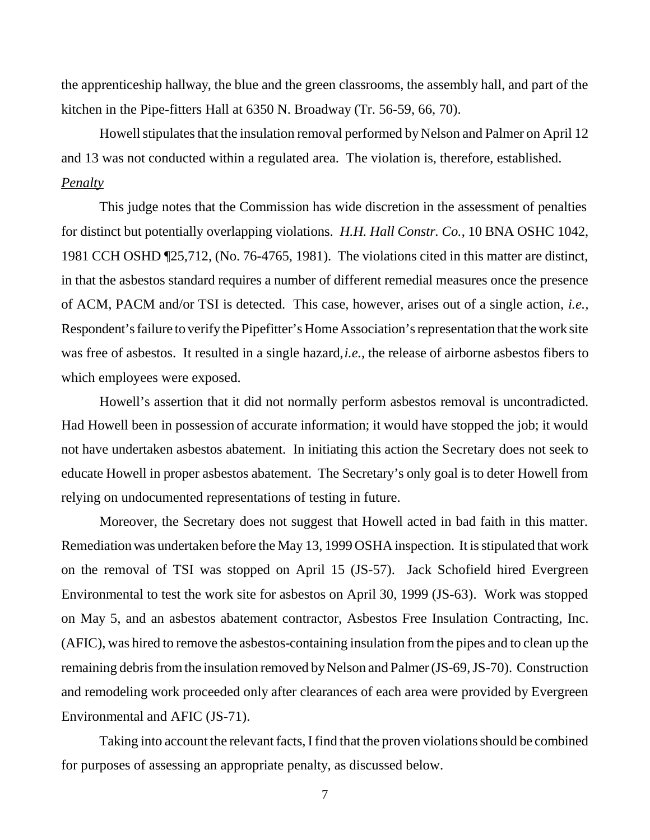the apprenticeship hallway, the blue and the green classrooms, the assembly hall, and part of the kitchen in the Pipe-fitters Hall at 6350 N. Broadway (Tr. 56-59, 66, 70).

Howell stipulates that the insulation removal performed by Nelson and Palmer on April 12 and 13 was not conducted within a regulated area. The violation is, therefore, established. *Penalty*

This judge notes that the Commission has wide discretion in the assessment of penalties for distinct but potentially overlapping violations. *H.H. Hall Constr. Co.*, 10 BNA OSHC 1042, 1981 CCH OSHD ¶25,712, (No. 76-4765, 1981). The violations cited in this matter are distinct, in that the asbestos standard requires a number of different remedial measures once the presence of ACM, PACM and/or TSI is detected. This case, however, arises out of a single action, *i.e.,* Respondent's failure to verify the Pipefitter's Home Association's representation that the work site was free of asbestos. It resulted in a single hazard, *i.e.,* the release of airborne asbestos fibers to which employees were exposed.

Howell's assertion that it did not normally perform asbestos removal is uncontradicted. Had Howell been in possession of accurate information; it would have stopped the job; it would not have undertaken asbestos abatement. In initiating this action the Secretary does not seek to educate Howell in proper asbestos abatement. The Secretary's only goal is to deter Howell from relying on undocumented representations of testing in future.

Moreover, the Secretary does not suggest that Howell acted in bad faith in this matter. Remediation was undertaken before the May 13, 1999 OSHA inspection. It is stipulated that work on the removal of TSI was stopped on April 15 (JS-57). Jack Schofield hired Evergreen Environmental to test the work site for asbestos on April 30, 1999 (JS-63). Work was stopped on May 5, and an asbestos abatement contractor, Asbestos Free Insulation Contracting, Inc. (AFIC), was hired to remove the asbestos-containing insulation from the pipes and to clean up the remaining debris from the insulation removed by Nelson and Palmer (JS-69, JS-70). Construction and remodeling work proceeded only after clearances of each area were provided by Evergreen Environmental and AFIC (JS-71).

Taking into account the relevant facts, I find that the proven violations should be combined for purposes of assessing an appropriate penalty, as discussed below.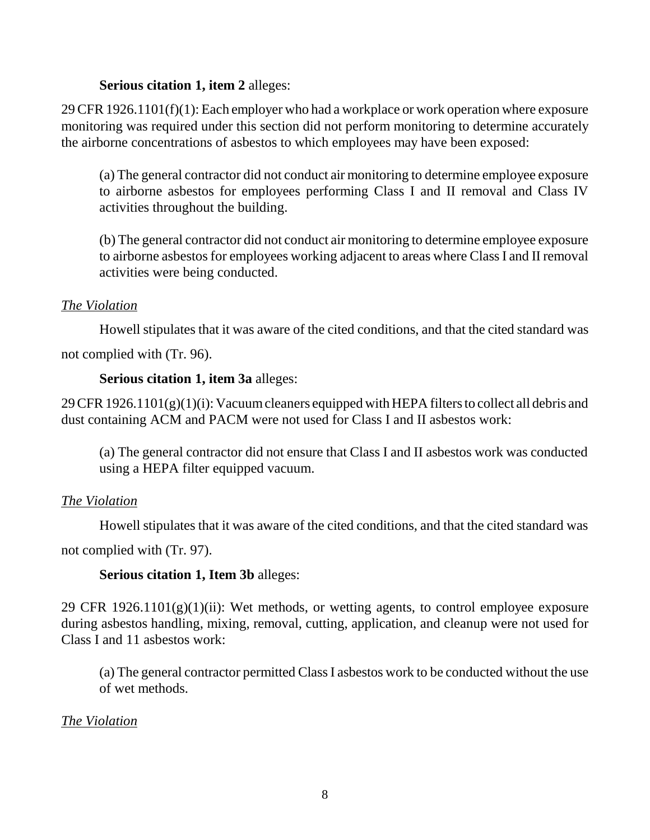### **Serious citation 1, item 2** alleges:

29 CFR 1926.1101(f)(1): Each employer who had a workplace or work operation where exposure monitoring was required under this section did not perform monitoring to determine accurately the airborne concentrations of asbestos to which employees may have been exposed:

(a) The general contractor did not conduct air monitoring to determine employee exposure to airborne asbestos for employees performing Class I and II removal and Class IV activities throughout the building.

(b) The general contractor did not conduct air monitoring to determine employee exposure to airborne asbestos for employees working adjacent to areas where Class I and II removal activities were being conducted.

### *The Violation*

Howell stipulates that it was aware of the cited conditions, and that the cited standard was not complied with (Tr. 96).

# **Serious citation 1, item 3a** alleges:

29 CFR 1926.1101(g)(1)(i): Vacuum cleaners equipped with HEPA filters to collect all debris and dust containing ACM and PACM were not used for Class I and II asbestos work:

(a) The general contractor did not ensure that Class I and II asbestos work was conducted using a HEPA filter equipped vacuum.

## *The Violation*

Howell stipulates that it was aware of the cited conditions, and that the cited standard was

not complied with (Tr. 97).

## **Serious citation 1, Item 3b** alleges:

29 CFR  $1926.1101(g)(1)(ii)$ : Wet methods, or wetting agents, to control employee exposure during asbestos handling, mixing, removal, cutting, application, and cleanup were not used for Class I and 11 asbestos work:

(a) The general contractor permitted Class I asbestos work to be conducted without the use of wet methods.

### *The Violation*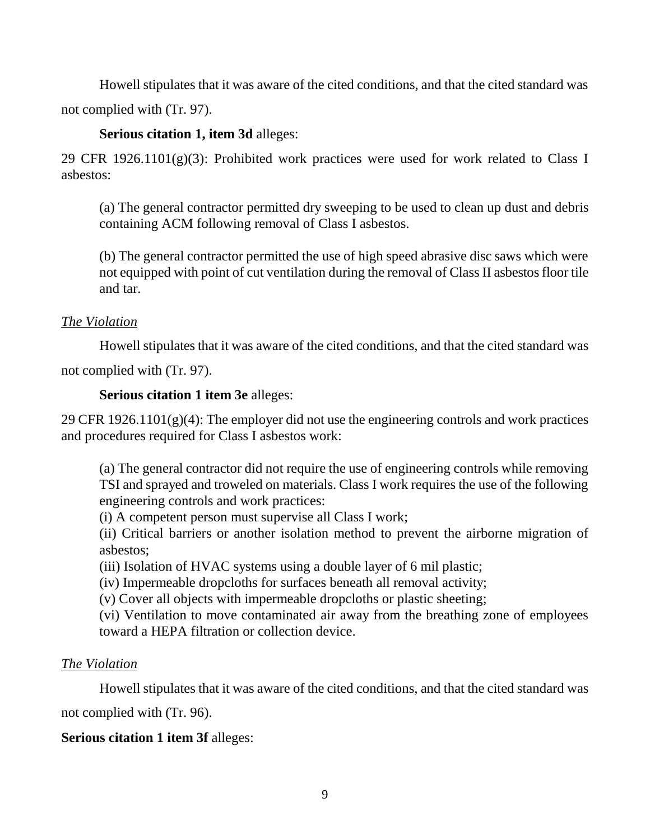Howell stipulates that it was aware of the cited conditions, and that the cited standard was not complied with (Tr. 97).

## **Serious citation 1, item 3d** alleges:

29 CFR 1926.1101 $(g)(3)$ : Prohibited work practices were used for work related to Class I asbestos:

(a) The general contractor permitted dry sweeping to be used to clean up dust and debris containing ACM following removal of Class I asbestos.

(b) The general contractor permitted the use of high speed abrasive disc saws which were not equipped with point of cut ventilation during the removal of Class II asbestos floor tile and tar.

## *The Violation*

Howell stipulates that it was aware of the cited conditions, and that the cited standard was

not complied with (Tr. 97).

## **Serious citation 1 item 3e** alleges:

29 CFR  $1926.1101(g)(4)$ : The employer did not use the engineering controls and work practices and procedures required for Class I asbestos work:

(a) The general contractor did not require the use of engineering controls while removing TSI and sprayed and troweled on materials. Class I work requires the use of the following engineering controls and work practices:

(i) A competent person must supervise all Class I work;

(ii) Critical barriers or another isolation method to prevent the airborne migration of asbestos;

(iii) Isolation of HVAC systems using a double layer of 6 mil plastic;

(iv) Impermeable dropcloths for surfaces beneath all removal activity;

(v) Cover all objects with impermeable dropcloths or plastic sheeting;

(vi) Ventilation to move contaminated air away from the breathing zone of employees toward a HEPA filtration or collection device.

# *The Violation*

Howell stipulates that it was aware of the cited conditions, and that the cited standard was not complied with (Tr. 96).

# **Serious citation 1 item 3f** alleges: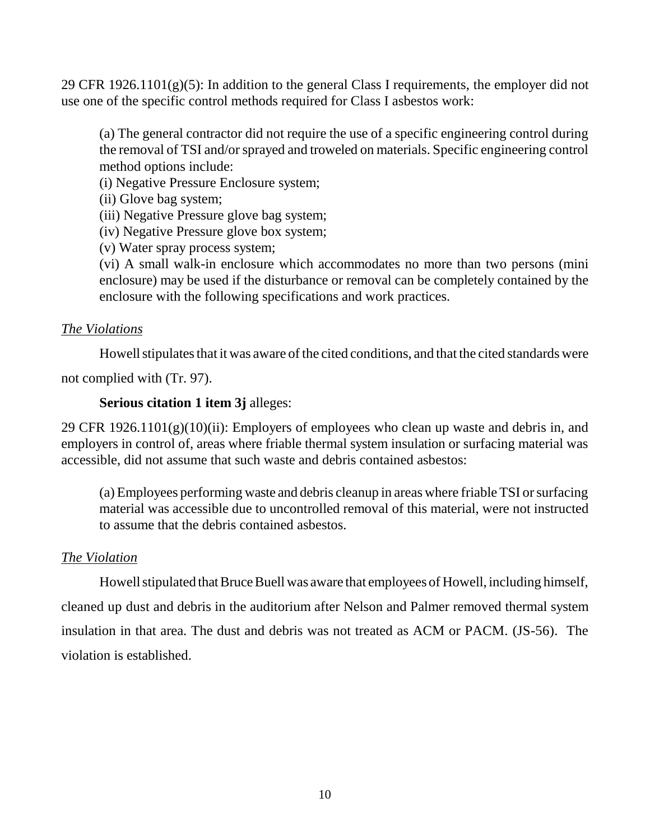29 CFR 1926.1101 $(g)(5)$ : In addition to the general Class I requirements, the employer did not use one of the specific control methods required for Class I asbestos work:

(a) The general contractor did not require the use of a specific engineering control during the removal of TSI and/or sprayed and troweled on materials. Specific engineering control method options include:

(i) Negative Pressure Enclosure system;

(ii) Glove bag system;

(iii) Negative Pressure glove bag system;

(iv) Negative Pressure glove box system;

(v) Water spray process system;

(vi) A small walk-in enclosure which accommodates no more than two persons (mini enclosure) may be used if the disturbance or removal can be completely contained by the enclosure with the following specifications and work practices.

### *The Violations*

Howell stipulates that it was aware of the cited conditions, and that the cited standards were

not complied with (Tr. 97).

### **Serious citation 1 item 3j** alleges:

29 CFR 1926.1101(g)(10)(ii): Employers of employees who clean up waste and debris in, and employers in control of, areas where friable thermal system insulation or surfacing material was accessible, did not assume that such waste and debris contained asbestos:

(a) Employees performing waste and debris cleanup in areas where friable TSI or surfacing material was accessible due to uncontrolled removal of this material, were not instructed to assume that the debris contained asbestos.

## *The Violation*

Howell stipulated that Bruce Buell was aware that employees of Howell, including himself, cleaned up dust and debris in the auditorium after Nelson and Palmer removed thermal system insulation in that area. The dust and debris was not treated as ACM or PACM. (JS-56). The violation is established.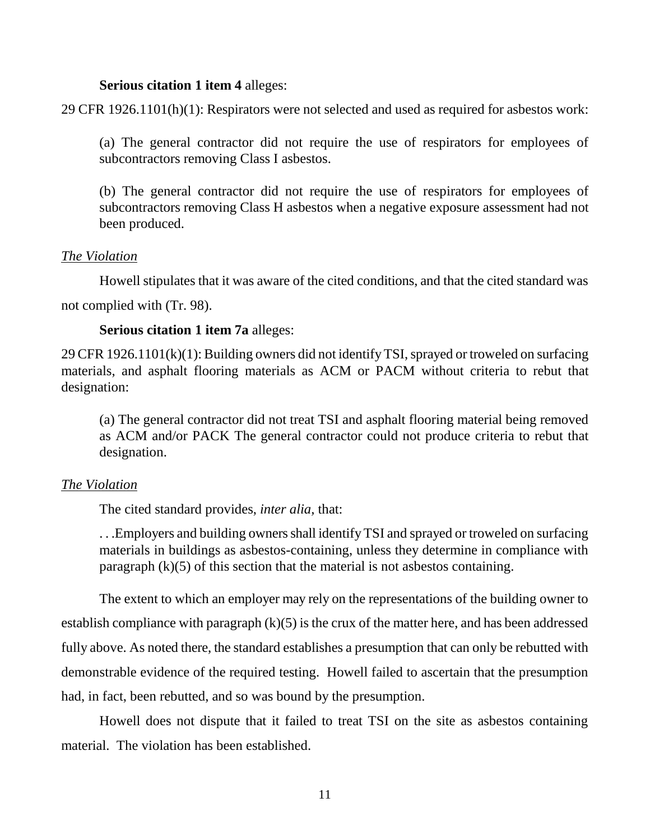### **Serious citation 1 item 4** alleges:

29 CFR 1926.1101(h)(1): Respirators were not selected and used as required for asbestos work:

(a) The general contractor did not require the use of respirators for employees of subcontractors removing Class I asbestos.

(b) The general contractor did not require the use of respirators for employees of subcontractors removing Class H asbestos when a negative exposure assessment had not been produced.

### *The Violation*

Howell stipulates that it was aware of the cited conditions, and that the cited standard was not complied with (Tr. 98).

### **Serious citation 1 item 7a** alleges:

29 CFR 1926.1101(k)(1): Building owners did not identify TSI, sprayed or troweled on surfacing materials, and asphalt flooring materials as ACM or PACM without criteria to rebut that designation:

(a) The general contractor did not treat TSI and asphalt flooring material being removed as ACM and/or PACK The general contractor could not produce criteria to rebut that designation.

### *The Violation*

The cited standard provides, *inter alia,* that:

. . .Employers and building owners shall identify TSI and sprayed or troweled on surfacing materials in buildings as asbestos-containing, unless they determine in compliance with paragraph  $(k)(5)$  of this section that the material is not asbestos containing.

The extent to which an employer may rely on the representations of the building owner to establish compliance with paragraph  $(k)(5)$  is the crux of the matter here, and has been addressed fully above. As noted there, the standard establishes a presumption that can only be rebutted with demonstrable evidence of the required testing. Howell failed to ascertain that the presumption had, in fact, been rebutted, and so was bound by the presumption.

Howell does not dispute that it failed to treat TSI on the site as asbestos containing material. The violation has been established.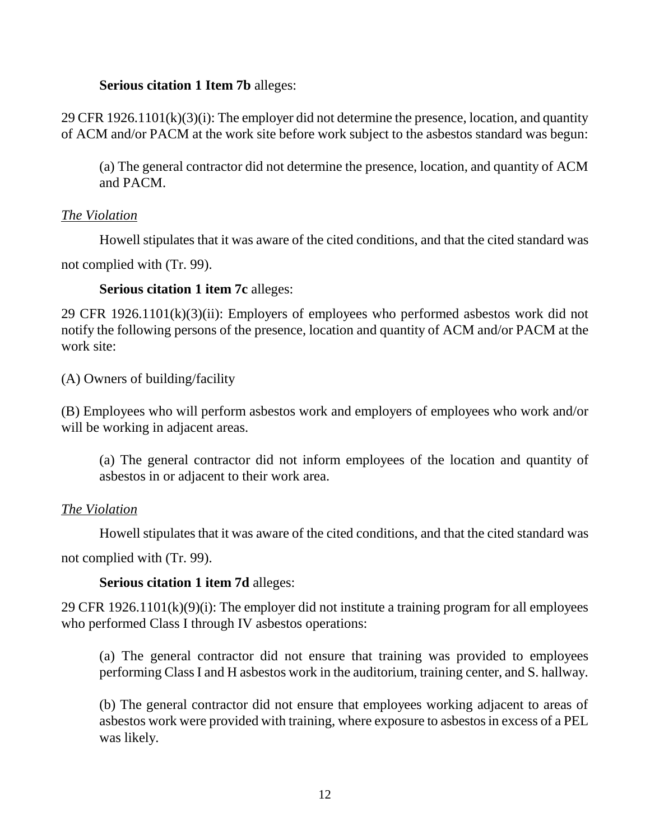### **Serious citation 1 Item 7b** alleges:

29 CFR 1926.1101(k)(3)(i): The employer did not determine the presence, location, and quantity of ACM and/or PACM at the work site before work subject to the asbestos standard was begun:

(a) The general contractor did not determine the presence, location, and quantity of ACM and PACM.

## *The Violation*

Howell stipulates that it was aware of the cited conditions, and that the cited standard was

not complied with (Tr. 99).

**Serious citation 1 item 7c** alleges:

29 CFR 1926.1101(k)(3)(ii): Employers of employees who performed asbestos work did not notify the following persons of the presence, location and quantity of ACM and/or PACM at the work site:

(A) Owners of building/facility

(B) Employees who will perform asbestos work and employers of employees who work and/or will be working in adjacent areas.

(a) The general contractor did not inform employees of the location and quantity of asbestos in or adjacent to their work area.

## *The Violation*

Howell stipulates that it was aware of the cited conditions, and that the cited standard was

not complied with (Tr. 99).

## **Serious citation 1 item 7d** alleges:

29 CFR 1926.1101(k)(9)(i): The employer did not institute a training program for all employees who performed Class I through IV asbestos operations:

(a) The general contractor did not ensure that training was provided to employees performing Class I and H asbestos work in the auditorium, training center, and S. hallway.

(b) The general contractor did not ensure that employees working adjacent to areas of asbestos work were provided with training, where exposure to asbestos in excess of a PEL was likely.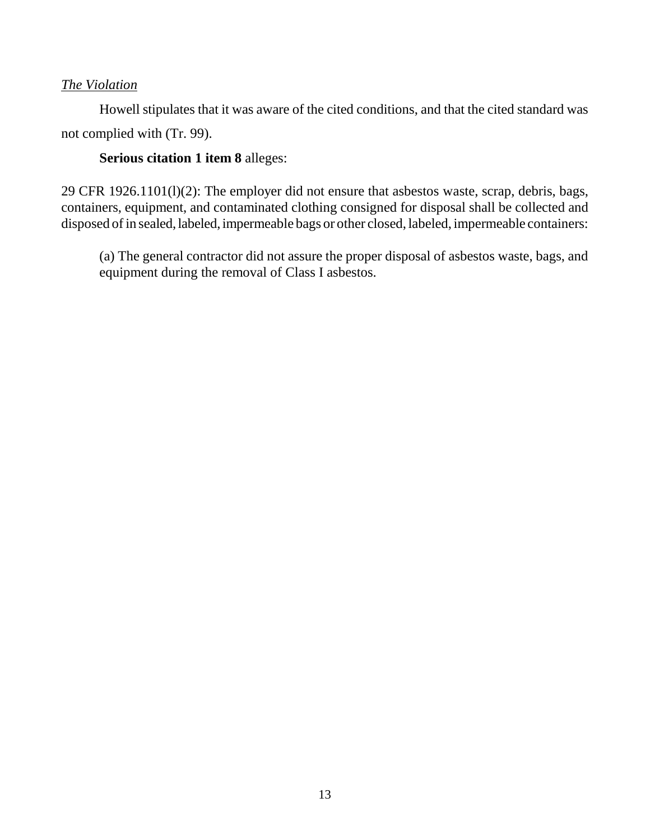## *The Violation*

Howell stipulates that it was aware of the cited conditions, and that the cited standard was not complied with (Tr. 99).

## **Serious citation 1 item 8** alleges:

29 CFR 1926.1101(l)(2): The employer did not ensure that asbestos waste, scrap, debris, bags, containers, equipment, and contaminated clothing consigned for disposal shall be collected and disposed of in sealed, labeled, impermeable bags or other closed, labeled, impermeable containers:

(a) The general contractor did not assure the proper disposal of asbestos waste, bags, and equipment during the removal of Class I asbestos.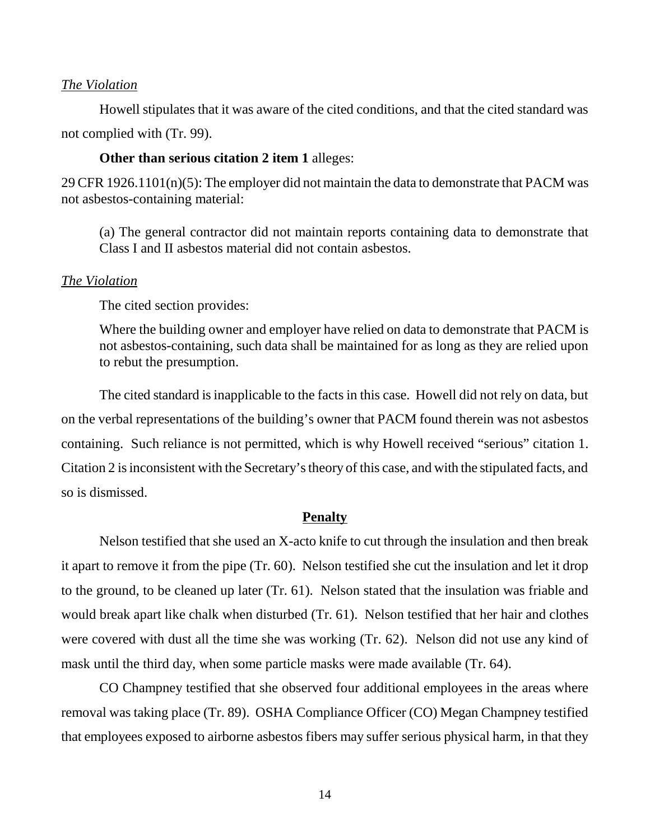#### *The Violation*

Howell stipulates that it was aware of the cited conditions, and that the cited standard was not complied with (Tr. 99).

#### **Other than serious citation 2 item 1** alleges:

29 CFR 1926.1101(n)(5): The employer did not maintain the data to demonstrate that PACM was not asbestos-containing material:

(a) The general contractor did not maintain reports containing data to demonstrate that Class I and II asbestos material did not contain asbestos.

#### *The Violation*

The cited section provides:

Where the building owner and employer have relied on data to demonstrate that PACM is not asbestos-containing, such data shall be maintained for as long as they are relied upon to rebut the presumption.

The cited standard is inapplicable to the facts in this case. Howell did not rely on data, but on the verbal representations of the building's owner that PACM found therein was not asbestos containing. Such reliance is not permitted, which is why Howell received "serious" citation 1. Citation 2 is inconsistent with the Secretary's theory of this case, and with the stipulated facts, and so is dismissed.

#### **Penalty**

Nelson testified that she used an X-acto knife to cut through the insulation and then break it apart to remove it from the pipe (Tr. 60). Nelson testified she cut the insulation and let it drop to the ground, to be cleaned up later (Tr. 61). Nelson stated that the insulation was friable and would break apart like chalk when disturbed (Tr. 61). Nelson testified that her hair and clothes were covered with dust all the time she was working (Tr. 62). Nelson did not use any kind of mask until the third day, when some particle masks were made available (Tr. 64).

CO Champney testified that she observed four additional employees in the areas where removal was taking place (Tr. 89). OSHA Compliance Officer (CO) Megan Champney testified that employees exposed to airborne asbestos fibers may suffer serious physical harm, in that they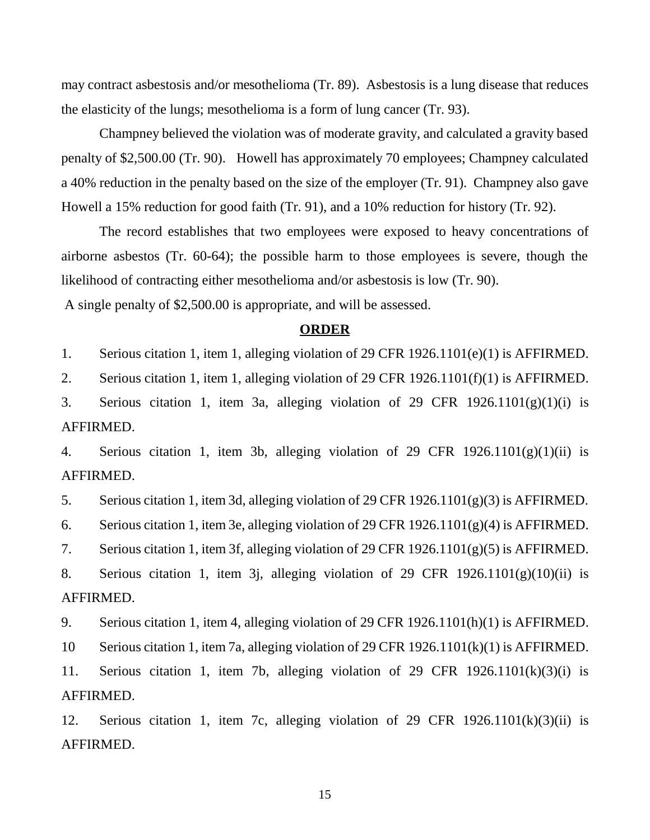may contract asbestosis and/or mesothelioma (Tr. 89). Asbestosis is a lung disease that reduces the elasticity of the lungs; mesothelioma is a form of lung cancer (Tr. 93).

Champney believed the violation was of moderate gravity, and calculated a gravity based penalty of \$2,500.00 (Tr. 90). Howell has approximately 70 employees; Champney calculated a 40% reduction in the penalty based on the size of the employer (Tr. 91). Champney also gave Howell a 15% reduction for good faith (Tr. 91), and a 10% reduction for history (Tr. 92).

The record establishes that two employees were exposed to heavy concentrations of airborne asbestos (Tr. 60-64); the possible harm to those employees is severe, though the likelihood of contracting either mesothelioma and/or asbestosis is low (Tr. 90).

A single penalty of \$2,500.00 is appropriate, and will be assessed.

#### **ORDER**

1. Serious citation 1, item 1, alleging violation of 29 CFR 1926.1101(e)(1) is AFFIRMED.

2. Serious citation 1, item 1, alleging violation of 29 CFR 1926.1101(f)(1) is AFFIRMED.

3. Serious citation 1, item 3a, alleging violation of 29 CFR  $1926.1101(g)(1)(i)$  is AFFIRMED.

4. Serious citation 1, item 3b, alleging violation of 29 CFR 1926.1101(g)(1)(ii) is AFFIRMED.

5. Serious citation 1, item 3d, alleging violation of 29 CFR 1926.1101(g)(3) is AFFIRMED.

6. Serious citation 1, item 3e, alleging violation of 29 CFR 1926.1101(g)(4) is AFFIRMED.

7. Serious citation 1, item 3f, alleging violation of 29 CFR 1926.1101(g)(5) is AFFIRMED.

8. Serious citation 1, item 3j, alleging violation of 29 CFR 1926.1101(g)(10)(ii) is AFFIRMED.

9. Serious citation 1, item 4, alleging violation of 29 CFR 1926.1101(h)(1) is AFFIRMED.

10 Serious citation 1, item 7a, alleging violation of 29 CFR 1926.1101(k)(1) is AFFIRMED.

11. Serious citation 1, item 7b, alleging violation of 29 CFR 1926.1101(k)(3)(i) is AFFIRMED.

12. Serious citation 1, item 7c, alleging violation of 29 CFR 1926.1101(k)(3)(ii) is AFFIRMED.

15